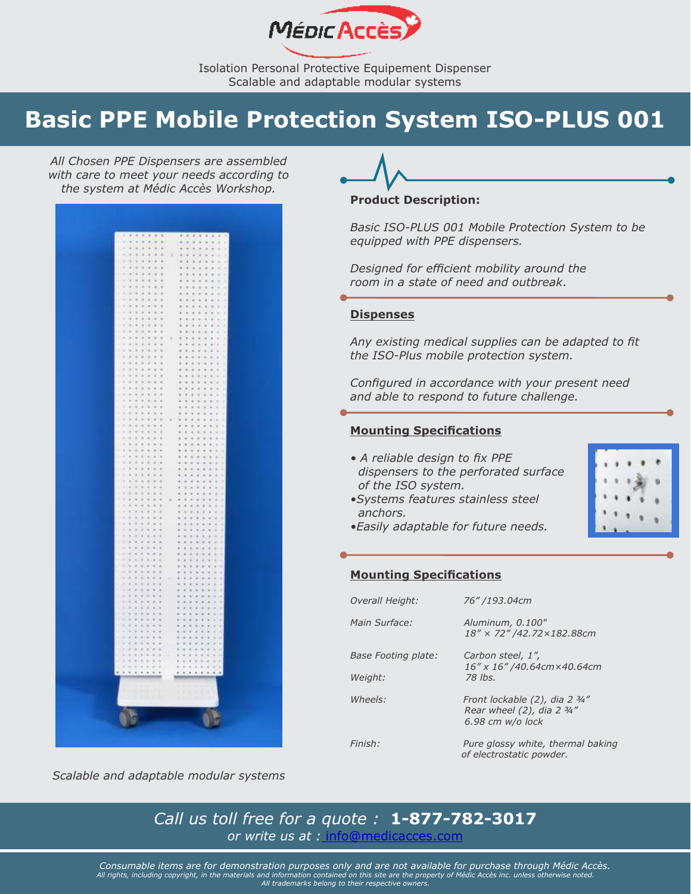

# <span id="page-0-0"></span>**Basic PPE Mobile Protection System ISO-PLUS 001**

*All Chosen PPE Dispensers are assembled with care to meet your needs according to the system at Médic Accès Workshop.* 



## **Product Description:**

*Basic ISO-PLUS 001 Mobile Protection System to be equipped with PPE dispensers.*

*Designed for efficient mobility around the room in a state of need and outbreak*.

# **Dispenses**

*Any existing medical supplies can be adapted to fit the ISO-Plus mobile protection system.*

*Configured in accordance with your present need and able to respond to future challenge.*

# **Mounting Specifications**

- *A reliable design to fix PPE dispensers to the perforated surface of the ISO system.*
- *•Systems features stainless steel anchors.*



*•Easily adaptable for future needs.*

### **Mounting Specifications**

| Overall Height:     | 76" /193.04cm                                                                    |
|---------------------|----------------------------------------------------------------------------------|
| Main Surface:       | Aluminum, 0.100"<br>18" × 72" /42.72 × 182.88cm                                  |
| Base Footing plate: | Carbon steel, 1",<br>16" x 16" /40.64cm×40.64cm                                  |
| Weight:             | 78 lbs.                                                                          |
| Wheels:             | Front lockable (2), dia 2 3/4"<br>Rear wheel (2), dia 2 3/4"<br>6.98 cm w/o lock |
| Finish:             | Pure glossy white, thermal baking<br>of electrostatic powder.                    |

*Scalable and adaptable modular systems*

*Call us toll free for a quote :* **1-877-782-3017** *or write us at :* [info@medicacces.com](mailto:info@medicacces.com)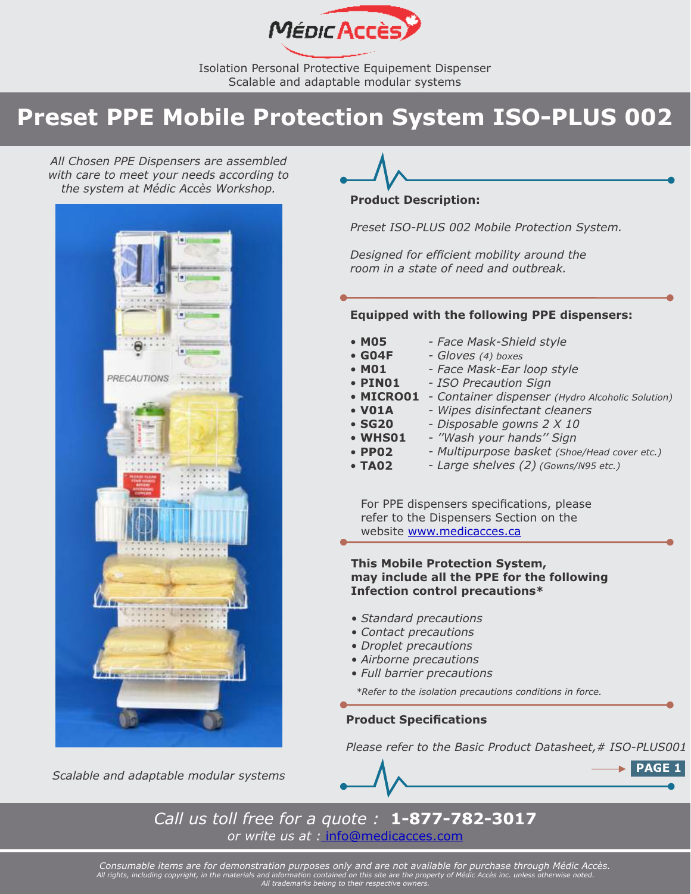

# **Preset PPE Mobile Protection System ISO-PLUS 002**

*All Chosen PPE Dispensers are assembled with care to meet your needs according to the system at Médic Accès Workshop.* 





### **Product Description:**

*Preset ISO-PLUS 002 Mobile Protection System.* 

*Designed for efficient mobility around the room in a state of need and outbreak.*

## **Equipped with the following PPE dispensers:**

| • M05         | - Face Mask-Shield style                         |
|---------------|--------------------------------------------------|
| $\cdot$ GO4F  | - Gloves (4) boxes                               |
| • M01         | - Face Mask-Ear loop style                       |
| • PINO1       | - ISO Precaution Sign                            |
| • MICRO01     | - Container dispenser (Hydro Alcoholic Solution) |
| • VO1A        | - Wipes disinfectant cleaners                    |
| <b>• SG20</b> | - Disposable gowns 2 X 10                        |
| • WHS01       | - "Wash your hands" Sign                         |
| $\cdot$ PP02  | - Multipurpose basket (Shoe/Head cover etc.)     |
|               |                                                  |

• **TA02** *- Large shelves (2) (Gowns/N95 etc.)*

For PPE dispensers specifications, please refer to the Dispensers Section on the website<www.medicacces.ca>

# **This Mobile Protection System, may include all the PPE for the following Infection control precautions\***

- *Standard precautions*
- *Contact precautions*
- *Droplet precautions*
- *Airborne precautions*
- *Full barrier precautions*

*\*Refer to the isolation precautions conditions in force.*

# **Product Specifications**

*Please refer to the Basic Product Datasheet,# ISO-PLUS001*



*Call us toll free for a quote :* **1-877-782-3017** *or write us at :* [info@medicacces.com](mailto:info@medicacces.com)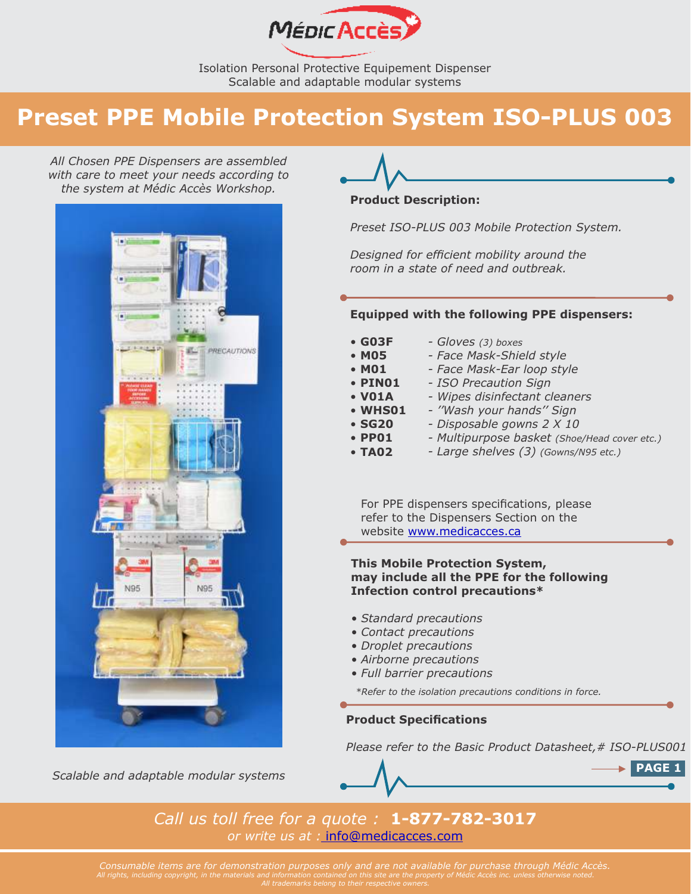

# **Preset PPE Mobile Protection System ISO-PLUS 003**

*All Chosen PPE Dispensers are assembled with care to meet your needs according to the system at Médic Accès Workshop.* 



*Scalable and adaptable modular systems*



### **Product Description:**

*Preset ISO-PLUS 003 Mobile Protection System.* 

*Designed for efficient mobility around the room in a state of need and outbreak.*

## **Equipped with the following PPE dispensers:**

| $\cdot$ GO3F<br>• M05 | - Gloves (3) boxes<br>- Face Mask-Shield style |
|-----------------------|------------------------------------------------|
| • M01                 | - Face Mask-Ear loop style                     |
| $\cdot$ PIN01         | - ISO Precaution Sign                          |
| • VO1A                | - Wipes disinfectant cleaners                  |
| <b>• WHS01</b>        | - "Wash your hands" Sign                       |
| <b>• SG20</b>         | - Disposable gowns 2 X 10                      |
| $\cdot$ PP01          | - Multipurpose basket (Shoe/Head cover etc.)   |
| <b>• TA02</b>         | - Large shelves (3) (Gowns/N95 etc.)           |

For PPE dispensers specifications, please refer to the Dispensers Section on the website<www.medicacces.ca>

# **This Mobile Protection System, may include all the PPE for the following Infection control precautions\***

- *Standard precautions*
- *Contact precautions*
- *Droplet precautions*
- *Airborne precautions*
- *Full barrier precautions*

*\*Refer to the isolation precautions conditions in force.* 

# **Product Specifications**

*Please refer to the Basic Product Datasheet,# ISO-PLUS001*



*Call us toll free for a quote :* **1-877-782-3017** *or write us at :* [info@medicacces.com](mailto:info@medicacces.com) 

*Consumable items are for demonstration purposes only and are not available for purchase through Médic Accès. All rights, including copyright, in the materials and information contained on this site are the property of Médic Accès inc. unless otherwise noted. All trademarks belong to their respective owners.*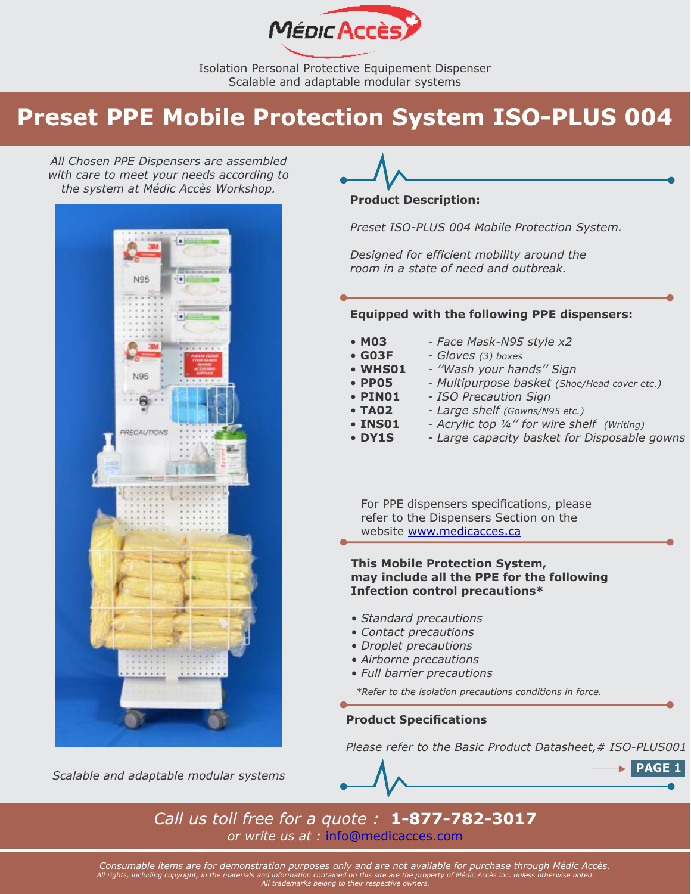

# **Preset PPE Mobile Protection System ISO-PLUS 004**

*All Chosen PPE Dispensers are assembled with care to meet your needs according to the system at Médic Accès Workshop.* 



*Scalable and adaptable modular systems*



#### **Product Description:**

*Preset ISO-PLUS 004 Mobile Protection System.*

*Designed for efficient mobility around the room in a state of need and outbreak.*

#### **Equipped with the following PPE dispensers:**

| • MO3          | - Face Mask-N95 style x2                     |
|----------------|----------------------------------------------|
| $\cdot$ GO3F   | - Gloves (3) boxes                           |
| • WHS01        | - "Wash your hands" Sign                     |
| $\cdot$ PP05   | - Multipurpose basket (Shoe/Head cover etc.) |
| $\cdot$ PINO1  | - ISO Precaution Sign                        |
| • TA02         | - Large shelf (Gowns/N95 etc.)               |
| <b>• INS01</b> | - Acrylic top 1/4" for wire shelf (Writing)  |
| • DY1S         | - Large capacity basket for Disposable gowns |
|                |                                              |
|                |                                              |

For PPE dispensers specifications, please refer to the Dispensers Section on the website<www.medicacces.ca>

### **This Mobile Protection System, may include all the PPE for the following Infection control precautions\***

- *Standard precautions*
- *Contact precautions*
- *Droplet precautions*
- *Airborne precautions*
- *Full barrier precautions*

*\*Refer to the isolation precautions conditions in force.* 

## **Product Specifications**

*Please refer to the Basic Product Datasheet,# ISO-PLUS001*



*Call us toll free for a quote :* **1-877-782-3017** *or write us at :* [info@medicacces.com](mailto:info@medicacces.com)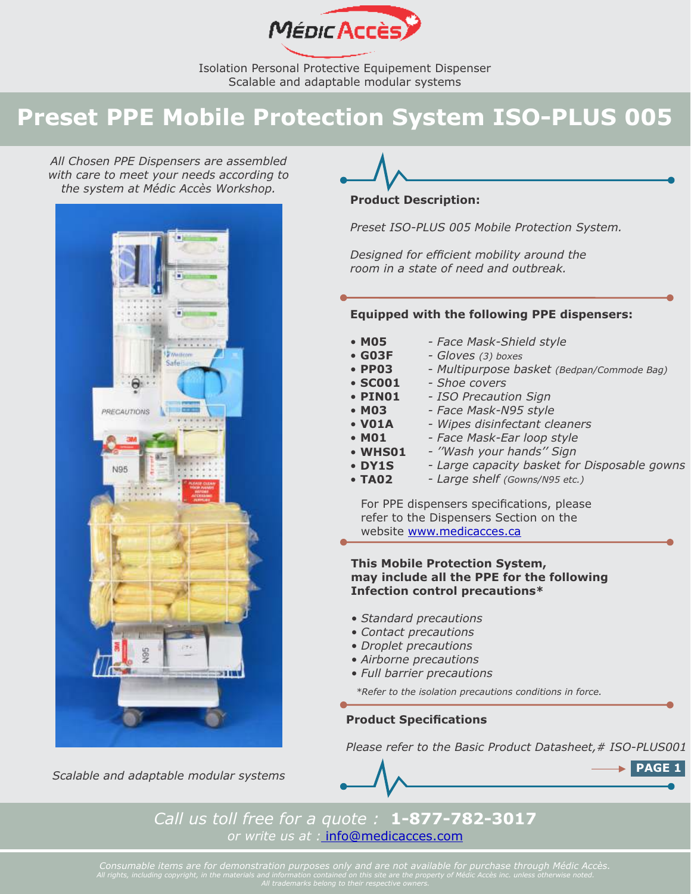

# **Preset PPE Mobile Protection System ISO-PLUS 005**

*All Chosen PPE Dispensers are assembled with care to meet your needs according to the system at Médic Accès Workshop.* 



*Scalable and adaptable modular systems*



## **Product Description:**

*Preset ISO-PLUS 005 Mobile Protection System.*

*Designed for efficient mobility around the room in a state of need and outbreak.*

# **Equipped with the following PPE dispensers:**

| • MO5   | - Face Mask-Shield style                     |
|---------|----------------------------------------------|
| • G03F  | - Gloves (3) boxes                           |
| • PP03  | - Multipurpose basket (Bedpan/Commode Bag)   |
| • SC001 | - Shoe covers                                |
| • PINO1 | - ISO Precaution Sign                        |
| • MO3   | - Face Mask-N95 style                        |
| • VO1A  | - Wipes disinfectant cleaners                |
| • MO1   | - Face Mask-Ear loop style                   |
| • WHS01 | - "Wash your hands" Sign                     |
| • DY1S  | - Large capacity basket for Disposable gowns |
| • TA02  | - Large shelf (Gowns/N95 etc.)               |
|         |                                              |

For PPE dispensers specifications, please refer to the Dispensers Section on the website<www.medicacces.ca>

# **This Mobile Protection System, may include all the PPE for the following Infection control precautions\***

- *Standard precautions*
- *Contact precautions*
- *Droplet precautions*
- *Airborne precautions*
- *Full barrier precautions*

*\*Refer to the isolation precautions conditions in force.* 

# **Product Specifications**

*Please refer to the Basic Product Datasheet,# ISO-PLUS001*



*Call us toll free for a quote :* **1-877-782-3017** *or write us at :* [info@medicacces.com](mailto:info@medicacces.com)